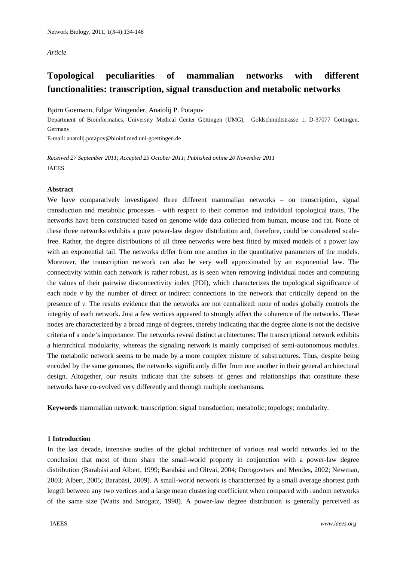## *Article*

# **Topological peculiarities of mammalian networks with different functionalities: transcription, signal transduction and metabolic networks**

Björn Goemann, Edgar Wingender, Anatolij P. Potapov

Department of Bioinformatics, University Medical Center Göttingen (UMG), Goldschmidtstrasse 1, D-37077 Göttingen, Germany

E-mail: anatolij.potapov@bioinf.med.uni-goettingen.de

*Received 27 September 2011*; *Accepted 25 October 2011*; *Published online 20 November 2011*  IAEES

## **Abstract**

We have comparatively investigated three different mammalian networks – on transcription, signal transduction and metabolic processes - with respect to their common and individual topological traits. The networks have been constructed based on genome-wide data collected from human, mouse and rat. None of these three networks exhibits a pure power-law degree distribution and, therefore, could be considered scalefree. Rather, the degree distributions of all three networks were best fitted by mixed models of a power law with an exponential tail. The networks differ from one another in the quantitative parameters of the models. Moreover, the transcription network can also be very well approximated by an exponential law. The connectivity within each network is rather robust, as is seen when removing individual nodes and computing the values of their pairwise disconnectivity index (PDI), which characterizes the topological significance of each node *v* by the number of direct or indirect connections in the network that critically depend on the presence of *v*. The results evidence that the networks are not centralized: none of nodes globally controls the integrity of each network. Just a few vertices appeared to strongly affect the coherence of the networks. These nodes are characterized by a broad range of degrees, thereby indicating that the degree alone is not the decisive criteria of a node's importance. The networks reveal distinct architectures: The transcriptional network exhibits a hierarchical modularity, whereas the signaling network is mainly comprised of semi-autonomous modules. The metabolic network seems to be made by a more complex mixture of substructures. Thus, despite being encoded by the same genomes, the networks significantly differ from one another in their general architectural design. Altogether, our results indicate that the subsets of genes and relationships that constitute these networks have co-evolved very differently and through multiple mechanisms.

**Keywords** mammalian network; transcription; signal transduction; metabolic; topology; modularity.

## **1 Introduction**

In the last decade, intensive studies of the global architecture of various real world networks led to the conclusion that most of them share the small-world property in conjunction with a power-law degree distribution (Barabási and Albert, 1999; Barabási and Oltvai, 2004; Dorogovtsev and Mendes, 2002; Newman, 2003; Albert, 2005; Barabási, 2009). A small-world network is characterized by a small average shortest path length between any two vertices and a large mean clustering coefficient when compared with random networks of the same size (Watts and Strogatz, 1998). A power-law degree distribution is generally perceived as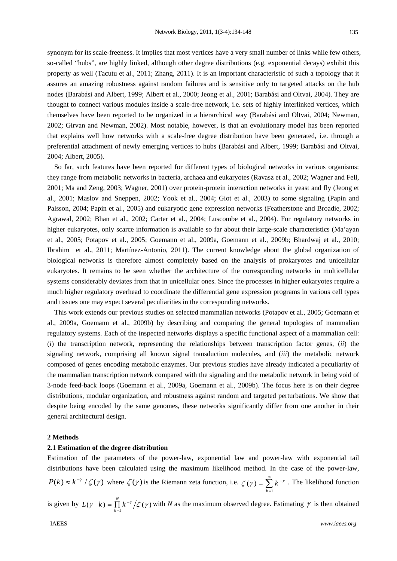135

synonym for its scale-freeness. It implies that most vertices have a very small number of links while few others, so-called "hubs", are highly linked, although other degree distributions (e.g. exponential decays) exhibit this property as well (Tacutu et al., 2011; Zhang, 2011). It is an important characteristic of such a topology that it assures an amazing robustness against random failures and is sensitive only to targeted attacks on the hub nodes (Barabási and Albert, 1999; Albert et al., 2000; Jeong et al., 2001; Barabási and Oltvai, 2004). They are thought to connect various modules inside a scale-free network, i.e. sets of highly interlinked vertices, which themselves have been reported to be organized in a hierarchical way (Barabási and Oltvai, 2004; Newman, 2002; Girvan and Newman, 2002). Most notable, however, is that an evolutionary model has been reported that explains well how networks with a scale-free degree distribution have been generated, i.e. through a preferential attachment of newly emerging vertices to hubs (Barabási and Albert, 1999; Barabási and Oltvai, 2004; Albert, 2005).

So far, such features have been reported for different types of biological networks in various organisms: they range from metabolic networks in bacteria, archaea and eukaryotes (Ravasz et al., 2002; Wagner and Fell, 2001; Ma and Zeng, 2003; Wagner, 2001) over protein-protein interaction networks in yeast and fly (Jeong et al., 2001; Maslov and Sneppen, 2002; Yook et al., 2004; Giot et al., 2003) to some signaling (Papin and Palsson, 2004; Papin et al., 2005) and eukaryotic gene expression networks (Featherstone and Broadie, 2002; Agrawal, 2002; Bhan et al., 2002; Carter et al., 2004; Luscombe et al., 2004). For regulatory networks in higher eukaryotes, only scarce information is available so far about their large-scale characteristics (Ma'ayan et al., 2005; Potapov et al., 2005; Goemann et al., 2009a, Goemann et al., 2009b; Bhardwaj et al., 2010; Ibrahim et al., 2011; Martínez-Antonio, 2011). The current knowledge about the global organization of biological networks is therefore almost completely based on the analysis of prokaryotes and unicellular eukaryotes. It remains to be seen whether the architecture of the corresponding networks in multicellular systems considerably deviates from that in unicellular ones. Since the processes in higher eukaryotes require a much higher regulatory overhead to coordinate the differential gene expression programs in various cell types and tissues one may expect several peculiarities in the corresponding networks.

This work extends our previous studies on selected mammalian networks (Potapov et al., 2005; Goemann et al., 2009a, Goemann et al., 2009b) by describing and comparing the general topologies of mammalian regulatory systems. Each of the inspected networks displays a specific functional aspect of a mammalian cell: (*i*) the transcription network, representing the relationships between transcription factor genes, (*ii*) the signaling network, comprising all known signal transduction molecules, and (*iii*) the metabolic network composed of genes encoding metabolic enzymes. Our previous studies have already indicated a peculiarity of the mammalian transcription network compared with the signaling and the metabolic network in being void of 3-node feed-back loops (Goemann et al., 2009a, Goemann et al., 2009b). The focus here is on their degree distributions, modular organization, and robustness against random and targeted perturbations. We show that despite being encoded by the same genomes, these networks significantly differ from one another in their general architectural design.

#### **2 Methods**

## **2.1 Estimation of the degree distribution**

Estimation of the parameters of the power-law, exponential law and power-law with exponential tail distributions have been calculated using the maximum likelihood method. In the case of the power-law,  $P(k) \approx k^{-\gamma}/\zeta(\gamma)$  where  $\zeta(\gamma)$  is the Riemann zeta function, i.e.  $\zeta(\gamma) = \sum_{k=1}^{\infty}$  $\overline{a}$  $=\sum k^{-}$ 1  $(\gamma)$ *k*  $\zeta(\gamma) = \sum k^{-\gamma}$ . The likelihood function

is given by  $L(\gamma | k) = \prod_{k=1}^{N} k^{-\gamma} / \zeta(\gamma)$  $\prod_{k=1} k^{-\gamma}/\zeta(\gamma)$  with *N* as the maximum observed degree. Estimating  $\gamma$  is then obtained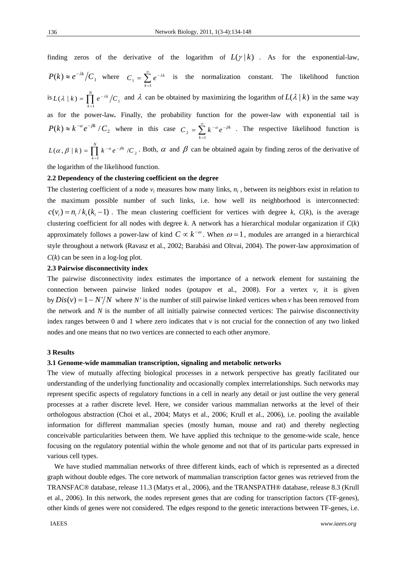136

finding zeros of the derivative of the logarithm of  $L(\gamma | k)$ . As for the exponential-law,  $P(k) \approx e^{-\lambda k}/C_1$  where  $C_1 = \sum_{k=1}^{\infty}$  $\overline{a}$  $= \sum e^{-}$  $1 - \sum_{k=1}$  $C_1 = \sum e^{-\lambda k}$  is the normalization constant. The likelihood function is  $L(\lambda | k) = \prod_{k=1}^{N} e^{-k}$ *k*  $L(\lambda | k) = \prod e^{-\lambda k}/C$  $(l \mid k) = \prod_{k=1}^{N} e^{-\lambda k}/C_1$  and  $\lambda$  can be obtained by maximizing the logarithm of  $L(\lambda | k)$  in the same way as for the power-law*.* Finally, the probability function for the power-law with exponential tail is  $P(k) \approx k^{-\alpha} e^{-\beta k} / C_2$  where in this case  $C_2 = \sum_{k=0}^{\infty} k^{-\alpha} e^{-\beta k}$ . The respective likelihood function is  $\overline{a}$ 1 *k*  $\begin{bmatrix} 1 & e & e \\ 1 & 1 & e \\ 1 & 1 & 1 \end{bmatrix}$  $L(\alpha, \beta | k) = \prod^N k^{-\alpha} e^{-\beta k} /C$ *k*  $\alpha$ ,  $\beta$  | k) =  $\prod_{k=1}$   $k^{-\alpha} e^{-\beta k}$  /C<sub>2</sub>. Both,  $\alpha$  and  $\beta$  can be obtained again by finding zeros of the derivative of

the logarithm of the likelihood function.

# **2.2 Dependency of the clustering coefficient on the degree**

The clustering coefficient of a node  $v_i$  measures how many links,  $n_i$ , between its neighbors exist in relation to the maximum possible number of such links, i.e. how well its neighborhood is interconnected:  $c(v_i) = n_i / k_i (k_i - 1)$ . The mean clustering coefficient for vertices with degree k,  $C(k)$ , is the average clustering coefficient for all nodes with degree *k*. A network has a hierarchical modular organization if *C*(*k*) approximately follows a power-law of kind  $C \propto k^{-\omega}$ . When  $\omega = 1$ , modules are arranged in a hierarchical style throughout a network (Ravasz et al., 2002; Barabási and Oltvai, 2004). The power-law approximation of  $C(k)$  can be seen in a log-log plot.

# **2.3 Pairwise disconnectivity index**

The pairwise disconnectivity index estimates the importance of a network element for sustaining the connection between pairwise linked nodes (potapov et al., 2008). For a vertex *v*, it is given by  $Dis(v) = 1 - N'/N$  where *N'* is the number of still pairwise linked vertices when *v* has been removed from the network and *N* is the number of all initially pairwise connected vertices: The pairwise disconnectivity index ranges between 0 and 1 where zero indicates that  $\nu$  is not crucial for the connection of any two linked nodes and one means that no two vertices are connected to each other anymore.

## **3 Results**

## **3.1 Genome-wide mammalian transcription, signaling and metabolic networks**

The view of mutually affecting biological processes in a network perspective has greatly facilitated our understanding of the underlying functionality and occasionally complex interrelationships. Such networks may represent specific aspects of regulatory functions in a cell in nearly any detail or just outline the very general processes at a rather discrete level. Here, we consider various mammalian networks at the level of their orthologous abstraction (Choi et al., 2004; Matys et al., 2006; Krull et al., 2006), i.e. pooling the available information for different mammalian species (mostly human, mouse and rat) and thereby neglecting conceivable particularities between them. We have applied this technique to the genome-wide scale, hence focusing on the regulatory potential within the whole genome and not that of its particular parts expressed in various cell types.

We have studied mammalian networks of three different kinds, each of which is represented as a directed graph without double edges. The core network of mammalian transcription factor genes was retrieved from the TRANSFAC® database, release 11.3 (Matys et al., 2006), and the TRANSPATH® database, release 8.3 (Krull et al., 2006). In this network, the nodes represent genes that are coding for transcription factors (TF-genes), other kinds of genes were not considered. The edges respond to the genetic interactions between TF-genes, i.e.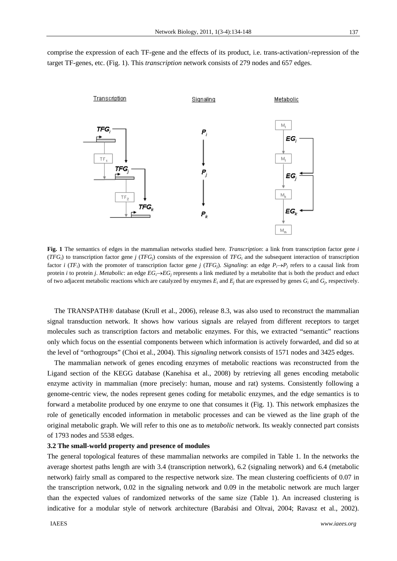comprise the expression of each TF-gene and the effects of its product, i.e. trans-activation/-repression of the target TF-genes, etc. (Fig. 1). This *transcription* network consists of 279 nodes and 657 edges.



**Fig. 1** The semantics of edges in the mammalian networks studied here. *Transcription*: a link from transcription factor gene *i*  $(TFG<sub>i</sub>)$  to transcription factor gene *j*  $(TFG<sub>i</sub>)$  consists of the expression of  $TFG<sub>i</sub>$  and the subsequent interaction of transcription factor *i* (*TF<sub>i</sub>*) with the promoter of transcription factor gene *j* (*TFG<sub>i</sub>*). *Signaling*: an edge  $P_i \rightarrow P_j$  refers to a causal link from protein *i* to protein *j*. *Metabolic*: an edge *EGiEGj* represents a link mediated by a metabolite that is both the product and educt of two adjacent metabolic reactions which are catalyzed by enzymes  $E_i$  and  $E_i$  that are expressed by genes  $G_i$  and  $G_i$ , respectively.

The TRANSPATH® database (Krull et al., 2006), release 8.3, was also used to reconstruct the mammalian signal transduction network. It shows how various signals are relayed from different receptors to target molecules such as transcription factors and metabolic enzymes. For this, we extracted "semantic" reactions only which focus on the essential components between which information is actively forwarded, and did so at the level of "orthogroups" (Choi et al., 2004). This *signaling* network consists of 1571 nodes and 3425 edges.

The mammalian network of genes encoding enzymes of metabolic reactions was reconstructed from the Ligand section of the KEGG database (Kanehisa et al., 2008) by retrieving all genes encoding metabolic enzyme activity in mammalian (more precisely: human, mouse and rat) systems. Consistently following a genome-centric view, the nodes represent genes coding for metabolic enzymes, and the edge semantics is to forward a metabolite produced by one enzyme to one that consumes it (Fig. 1). This network emphasizes the role of genetically encoded information in metabolic processes and can be viewed as the line graph of the original metabolic graph. We will refer to this one as to *metabolic* network. Its weakly connected part consists of 1793 nodes and 5538 edges.

#### **3.2 The small-world property and presence of modules**

The general topological features of these mammalian networks are compiled in Table 1. In the networks the average shortest paths length are with 3.4 (transcription network), 6.2 (signaling network) and 6.4 (metabolic network) fairly small as compared to the respective network size. The mean clustering coefficients of 0.07 in the transcription network, 0.02 in the signaling network and 0.09 in the metabolic network are much larger than the expected values of randomized networks of the same size (Table 1). An increased clustering is indicative for a modular style of network architecture (Barabási and Oltvai, 2004; Ravasz et al., 2002).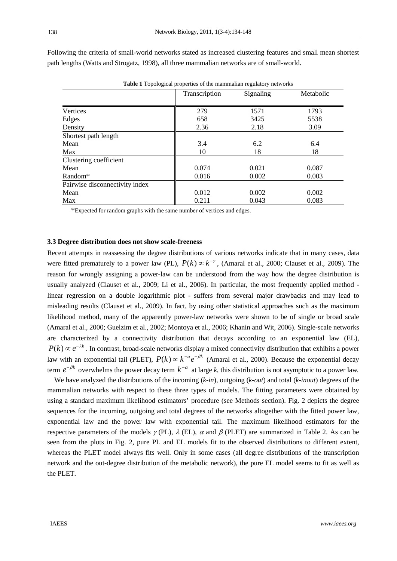| <b>Table 1</b> Topological properties of the mammalian regulatory fictworks |               |           |           |  |  |
|-----------------------------------------------------------------------------|---------------|-----------|-----------|--|--|
|                                                                             | Transcription | Signaling | Metabolic |  |  |
|                                                                             |               |           |           |  |  |
| Vertices                                                                    | 279           | 1571      | 1793      |  |  |
| Edges                                                                       | 658           | 3425      | 5538      |  |  |
| Density                                                                     | 2.36          | 2.18      | 3.09      |  |  |
| Shortest path length                                                        |               |           |           |  |  |
| Mean                                                                        | 3.4           | 6.2       | 6.4       |  |  |
| Max                                                                         | 10            | 18        | 18        |  |  |
| Clustering coefficient                                                      |               |           |           |  |  |
| Mean                                                                        | 0.074         | 0.021     | 0.087     |  |  |
| Random <sup>*</sup>                                                         | 0.016         | 0.002     | 0.003     |  |  |
| Pairwise disconnectivity index                                              |               |           |           |  |  |
| Mean                                                                        | 0.012         | 0.002     | 0.002     |  |  |
| Max                                                                         | 0.211         | 0.043     | 0.083     |  |  |

Following the criteria of small-world networks stated as increased clustering features and small mean shortest path lengths (Watts and Strogatz, 1998), all three mammalian networks are of small-world.

**Table 1** Topological properties of the mammalian regulatory networks

\*Expected for random graphs with the same number of vertices and edges.

#### **3.3 Degree distribution does not show scale-freeness**

Recent attempts in reassessing the degree distributions of various networks indicate that in many cases, data were fitted prematurely to a power law (PL),  $P(k) \propto k^{-\gamma}$ , (Amaral et al., 2000; Clauset et al., 2009). The reason for wrongly assigning a power-law can be understood from the way how the degree distribution is usually analyzed (Clauset et al., 2009; Li et al., 2006). In particular, the most frequently applied method linear regression on a double logarithmic plot - suffers from several major drawbacks and may lead to misleading results (Clauset et al., 2009). In fact, by using other statistical approaches such as the maximum likelihood method, many of the apparently power-law networks were shown to be of single or broad scale (Amaral et al., 2000; Guelzim et al., 2002; Montoya et al., 2006; Khanin and Wit, 2006). Single-scale networks are characterized by a connectivity distribution that decays according to an exponential law (EL),  $P(k) \propto e^{-\lambda k}$ . In contrast, broad-scale networks display a mixed connectivity distribution that exhibits a power law with an exponential tail (PLET),  $P(k) \propto k^{-\alpha} e^{-\beta k}$  (Amaral et al., 2000). Because the exponential decay term  $e^{-\beta k}$  overwhelms the power decay term  $k^{-\alpha}$  at large k, this distribution is not asymptotic to a power law.

We have analyzed the distributions of the incoming (*k-in*), outgoing (*k-out*) and total (*k-inout*) degrees of the mammalian networks with respect to these three types of models. The fitting parameters were obtained by using a standard maximum likelihood estimators' procedure (see Methods section). Fig. 2 depicts the degree sequences for the incoming, outgoing and total degrees of the networks altogether with the fitted power law, exponential law and the power law with exponential tail. The maximum likelihood estimators for the respective parameters of the models  $\gamma$  (PL),  $\lambda$  (EL),  $\alpha$  and  $\beta$  (PLET) are summarized in Table 2. As can be seen from the plots in Fig. 2, pure PL and EL models fit to the observed distributions to different extent, whereas the PLET model always fits well. Only in some cases (all degree distributions of the transcription network and the out-degree distribution of the metabolic network), the pure EL model seems to fit as well as the PLET.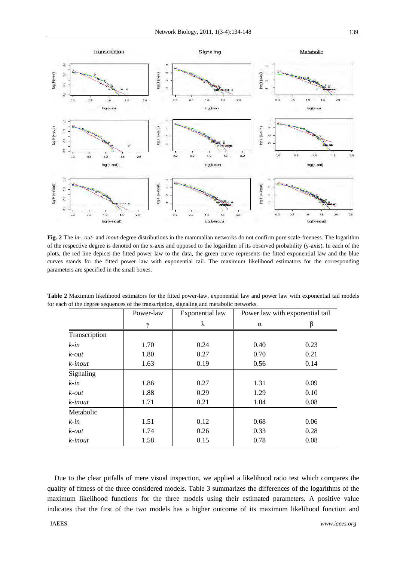

**Fig. 2** The *in-*, *out-* and *inout-*degree distributions in the mammalian networks do not confirm pure scale-freeness. The logarithm of the respective degree is denoted on the x-axis and opposed to the logarithm of its observed probability (y-axis). In each of the plots, the red line depicts the fitted power law to the data, the green curve represents the fitted exponential law and the blue curves stands for the fitted power law with exponential tail. The maximum likelihood estimators for the corresponding parameters are specified in the small boxes.

|                  | Power-law | <b>Exponential</b> law |          | Power law with exponential tail |  |
|------------------|-----------|------------------------|----------|---------------------------------|--|
|                  | $\gamma$  | λ                      | $\alpha$ | B                               |  |
| Transcription    |           |                        |          |                                 |  |
| $k$ -in          | 1.70      | 0.24                   | 0.40     | 0.23                            |  |
| $k$ - <i>out</i> | 1.80      | 0.27                   | 0.70     | 0.21                            |  |
| $k$ -inout       | 1.63      | 0.19                   | 0.56     | 0.14                            |  |
| Signaling        |           |                        |          |                                 |  |
| $k$ -in          | 1.86      | 0.27                   | 1.31     | 0.09                            |  |
| $k$ - <i>out</i> | 1.88      | 0.29                   | 1.29     | 0.10                            |  |
| $k$ -inout       | 1.71      | 0.21                   | 1.04     | 0.08                            |  |
| Metabolic        |           |                        |          |                                 |  |
| $k$ -in          | 1.51      | 0.12                   | 0.68     | 0.06                            |  |
| $k$ - <i>out</i> | 1.74      | 0.26                   | 0.33     | 0.28                            |  |
| k-inout          | 1.58      | 0.15                   | 0.78     | 0.08                            |  |

**Table 2** Maximum likelihood estimators for the fitted power-law, exponential law and power law with exponential tail models for each of the degree sequences of the transcription, signaling and metabolic networks.

Due to the clear pitfalls of mere visual inspection, we applied a likelihood ratio test which compares the quality of fitness of the three considered models. Table 3 summarizes the differences of the logarithms of the maximum likelihood functions for the three models using their estimated parameters. A positive value indicates that the first of the two models has a higher outcome of its maximum likelihood function and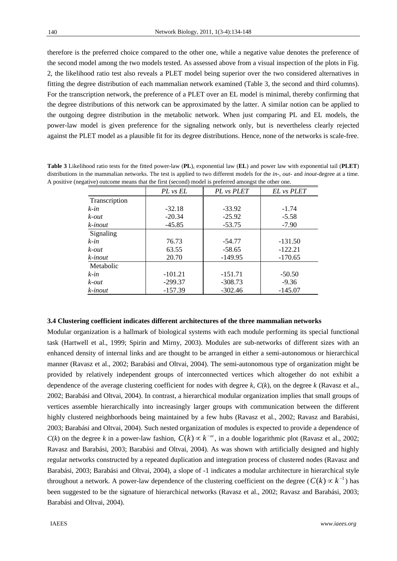therefore is the preferred choice compared to the other one, while a negative value denotes the preference of the second model among the two models tested. As assessed above from a visual inspection of the plots in Fig. 2, the likelihood ratio test also reveals a PLET model being superior over the two considered alternatives in fitting the degree distribution of each mammalian network examined (Table 3, the second and third columns). For the transcription network, the preference of a PLET over an EL model is minimal, thereby confirming that the degree distributions of this network can be approximated by the latter. A similar notion can be applied to the outgoing degree distribution in the metabolic network. When just comparing PL and EL models, the power-law model is given preference for the signaling network only, but is nevertheless clearly rejected against the PLET model as a plausible fit for its degree distributions. Hence, none of the networks is scale-free.

**Table 3** Likelihood ratio tests for the fitted power-law (**PL**), exponential law (**EL**) and power law with exponential tail (**PLET**) distributions in the mammalian networks. The test is applied to two different models for the *in*-, *out*- and *inout*-degree at a time. A positive (negative) outcome means that the first (second) model is preferred amongst the other one.

|               | PL vs EL  | PL vs PLET | EL vs PLET |
|---------------|-----------|------------|------------|
| Transcription |           |            |            |
| $k$ -in       | $-32.18$  | $-33.92$   | $-1.74$    |
| $k$ -out      | $-20.34$  | $-25.92$   | $-5.58$    |
| k-inout       | $-45.85$  | $-53.75$   | $-7.90$    |
| Signaling     |           |            |            |
| $k$ -in       | 76.73     | -54.77     | $-131.50$  |
| $k$ -out      | 63.55     | $-58.65$   | $-122.21$  |
| k-inout       | 20.70     | $-149.95$  | $-170.65$  |
| Metabolic     |           |            |            |
| $k$ -in       | $-101.21$ | $-151.71$  | $-50.50$   |
| $k$ -out      | $-299.37$ | $-308.73$  | $-9.36$    |
| k-inout       | $-157.39$ | $-302.46$  | $-145.07$  |

#### **3.4 Clustering coefficient indicates different architectures of the three mammalian networks**

Modular organization is a hallmark of biological systems with each module performing its special functional task (Hartwell et al., 1999; Spirin and Mirny, 2003). Modules are sub-networks of different sizes with an enhanced density of internal links and are thought to be arranged in either a semi-autonomous or hierarchical manner (Ravasz et al., 2002; Barabási and Oltvai, 2004). The semi-autonomous type of organization might be provided by relatively independent groups of interconnected vertices which altogether do not exhibit a dependence of the average clustering coefficient for nodes with degree  $k$ ,  $C(k)$ , on the degree  $k$  (Ravasz et al., 2002; Barabási and Oltvai, 2004). In contrast, a hierarchical modular organization implies that small groups of vertices assemble hierarchically into increasingly larger groups with communication between the different highly clustered neighborhoods being maintained by a few hubs (Ravasz et al., 2002; Ravasz and Barabási, 2003; Barabási and Oltvai, 2004). Such nested organization of modules is expected to provide a dependence of  $C(k)$  on the degree *k* in a power-law fashion,  $C(k) \propto k^{-\omega}$ , in a double logarithmic plot (Ravasz et al., 2002; Ravasz and Barabási, 2003; Barabási and Oltvai, 2004). As was shown with artificially designed and highly regular networks constructed by a repeated duplication and integration process of clustered nodes (Ravasz and Barabási, 2003; Barabási and Oltvai, 2004), a slope of -1 indicates a modular architecture in hierarchical style throughout a network. A power-law dependence of the clustering coefficient on the degree ( $C(k) \propto k^{-1}$ ) has been suggested to be the signature of hierarchical networks (Ravasz et al., 2002; Ravasz and Barabási, 2003; Barabási and Oltvai, 2004).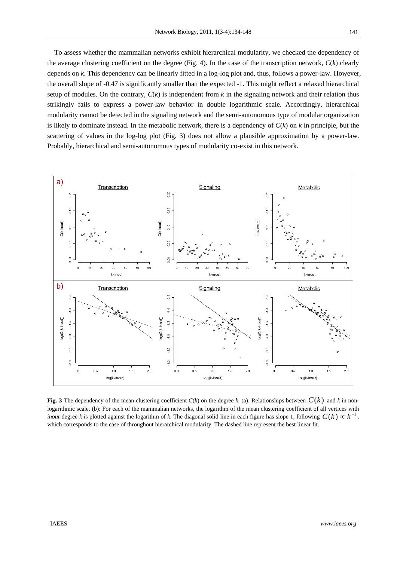To assess whether the mammalian networks exhibit hierarchical modularity, we checked the dependency of the average clustering coefficient on the degree (Fig. 4). In the case of the transcription network, *C*(*k*) clearly depends on *k*. This dependency can be linearly fitted in a log-log plot and, thus, follows a power-law. However, the overall slope of -0.47 is significantly smaller than the expected -1. This might reflect a relaxed hierarchical setup of modules. On the contrary,  $C(k)$  is independent from  $k$  in the signaling network and their relation thus strikingly fails to express a power-law behavior in double logarithmic scale. Accordingly, hierarchical modularity cannot be detected in the signaling network and the semi-autonomous type of modular organization is likely to dominate instead. In the metabolic network, there is a dependency of *C*(*k*) on *k* in principle, but the scattering of values in the log-log plot (Fig. 3) does not allow a plausible approximation by a power-law. Probably, hierarchical and semi-autonomous types of modularity co-exist in this network.



**Fig. 3** The dependency of the mean clustering coefficient  $C(k)$  on the degree k. (a): Relationships between  $C(k)$  and k in nonlogarithmic scale. (b): For each of the mammalian networks, the logarithm of the mean clustering coefficient of all vertices with *inout*-degree *k* is plotted against the logarithm of *k*. The diagonal solid line in each figure has slope 1, following  $C(k) \propto k^{-1}$ , which corresponds to the case of throughout hierarchical modularity. The dashed line represent the best linear fit.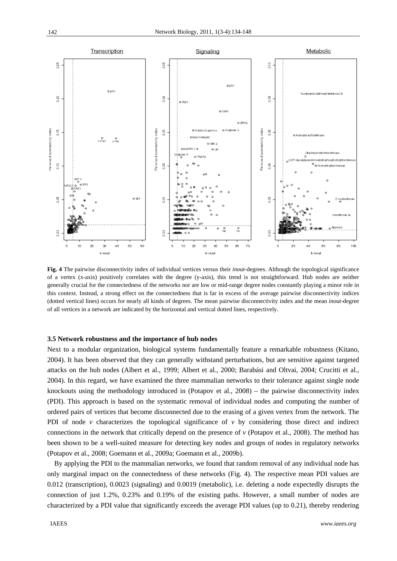

**Fig. 4** The pairwise disconnectivity index of individual vertices versus their *inout*-degrees. Although the topological significance of a vertex (x-axis) positively correlates with the degree (y-axis), this trend is not straightforward. Hub nodes are neither generally crucial for the connectedness of the networks nor are low or mid-range degree nodes constantly playing a minor role in this context. Instead, a strong effect on the connectedness that is far in excess of the average pairwise disconnectivity indices (dotted vertical lines) occurs for nearly all kinds of degrees. The mean pairwise disconnectivity index and the mean *inout*-degree of all vertices in a network are indicated by the horizontal and vertical dotted lines, respectively.

## **3.5 Network robustness and the importance of hub nodes**

Next to a modular organization, biological systems fundamentally feature a remarkable robustness (Kitano, 2004). It has been observed that they can generally withstand perturbations, but are sensitive against targeted attacks on the hub nodes (Albert et al., 1999; Albert et al., 2000; Barabási and Oltvai, 2004; Crucitti et al., 2004). In this regard, we have examined the three mammalian networks to their tolerance against single node knockouts using the methodology introduced in (Potapov et al., 2008) – the pairwise disconnectivity index (PDI). This approach is based on the systematic removal of individual nodes and computing the number of ordered pairs of vertices that become disconnected due to the erasing of a given vertex from the network. The PDI of node  $\nu$  characterizes the topological significance of  $\nu$  by considering those direct and indirect connections in the network that critically depend on the presence of *v* (Potapov et al., 2008). The method has been shown to be a well-suited measure for detecting key nodes and groups of nodes in regulatory networks (Potapov et al., 2008; Goemann et al., 2009a; Goemann et al., 2009b).

By applying the PDI to the mammalian networks, we found that random removal of any individual node has only marginal impact on the connectedness of these networks (Fig. 4). The respective mean PDI values are 0.012 (transcription), 0.0023 (signaling) and 0.0019 (metabolic), i.e. deleting a node expectedly disrupts the connection of just 1.2%, 0.23% and 0.19% of the existing paths. However, a small number of nodes are characterized by a PDI value that significantly exceeds the average PDI values (up to 0.21), thereby rendering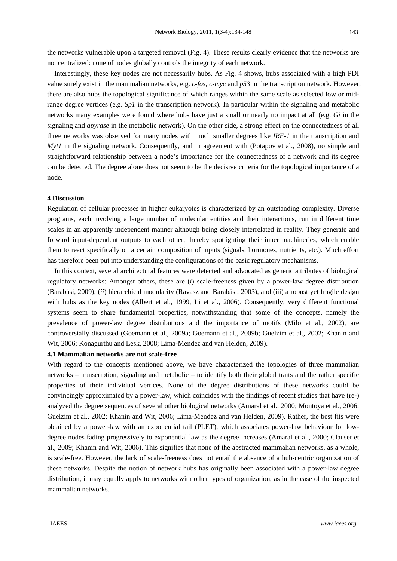the networks vulnerable upon a targeted removal (Fig. 4). These results clearly evidence that the networks are not centralized: none of nodes globally controls the integrity of each network.

Interestingly, these key nodes are not necessarily hubs. As Fig. 4 shows, hubs associated with a high PDI value surely exist in the mammalian networks, e.g. *c-fos, c-myc* and *p53* in the transcription network. However, there are also hubs the topological significance of which ranges within the same scale as selected low or midrange degree vertices (e.g. *Sp1* in the transcription network). In particular within the signaling and metabolic networks many examples were found where hubs have just a small or nearly no impact at all (e.g. *Gi* in the signaling and *apyrase* in the metabolic network). On the other side, a strong effect on the connectedness of all three networks was observed for many nodes with much smaller degrees like *IRF-1* in the transcription and *Myt1* in the signaling network. Consequently, and in agreement with (Potapov et al., 2008), no simple and straightforward relationship between a node's importance for the connectedness of a network and its degree can be detected. The degree alone does not seem to be the decisive criteria for the topological importance of a node.

#### **4 Discussion**

Regulation of cellular processes in higher eukaryotes is characterized by an outstanding complexity. Diverse programs, each involving a large number of molecular entities and their interactions, run in different time scales in an apparently independent manner although being closely interrelated in reality. They generate and forward input-dependent outputs to each other, thereby spotlighting their inner machineries, which enable them to react specifically on a certain composition of inputs (signals, hormones, nutrients, etc.). Much effort has therefore been put into understanding the configurations of the basic regulatory mechanisms.

In this context, several architectural features were detected and advocated as generic attributes of biological regulatory networks: Amongst others, these are (*i*) scale-freeness given by a power-law degree distribution (Barabási, 2009), (*ii*) hierarchical modularity (Ravasz and Barabási, 2003), and (iii) a robust yet fragile design with hubs as the key nodes (Albert et al., 1999, Li et al., 2006). Consequently, very different functional systems seem to share fundamental properties, notwithstanding that some of the concepts, namely the prevalence of power-law degree distributions and the importance of motifs (Milo et al., 2002), are controversially discussed (Goemann et al., 2009a; Goemann et al., 2009b; Guelzim et al., 2002; Khanin and Wit, 2006; Konagurthu and Lesk, 2008; Lima-Mendez and van Helden, 2009).

## **4.1 Mammalian networks are not scale-free**

With regard to the concepts mentioned above, we have characterized the topologies of three mammalian networks – transcription, signaling and metabolic – to identify both their global traits and the rather specific properties of their individual vertices. None of the degree distributions of these networks could be convincingly approximated by a power-law, which coincides with the findings of recent studies that have (re-) analyzed the degree sequences of several other biological networks (Amaral et al., 2000; Montoya et al., 2006; Guelzim et al., 2002; Khanin and Wit, 2006; Lima-Mendez and van Helden, 2009). Rather, the best fits were obtained by a power-law with an exponential tail (PLET), which associates power-law behaviour for lowdegree nodes fading progressively to exponential law as the degree increases (Amaral et al., 2000; Clauset et al., 2009; Khanin and Wit, 2006). This signifies that none of the abstracted mammalian networks, as a whole, is scale-free. However, the lack of scale-freeness does not entail the absence of a hub-centric organization of these networks. Despite the notion of network hubs has originally been associated with a power-law degree distribution, it may equally apply to networks with other types of organization, as in the case of the inspected mammalian networks.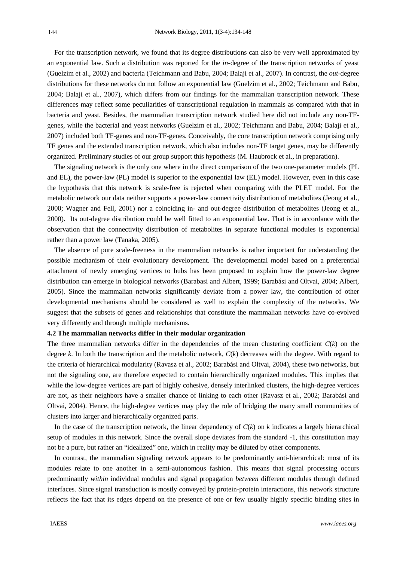For the transcription network, we found that its degree distributions can also be very well approximated by an exponential law. Such a distribution was reported for the *in*-degree of the transcription networks of yeast (Guelzim et al., 2002) and bacteria (Teichmann and Babu, 2004; Balaji et al., 2007). In contrast, the *out*-degree distributions for these networks do not follow an exponential law (Guelzim et al., 2002; Teichmann and Babu, 2004; Balaji et al., 2007), which differs from our findings for the mammalian transcription network. These differences may reflect some peculiarities of transcriptional regulation in mammals as compared with that in bacteria and yeast. Besides, the mammalian transcription network studied here did not include any non-TFgenes, while the bacterial and yeast networks (Guelzim et al., 2002; Teichmann and Babu, 2004; Balaji et al., 2007) included both TF-genes and non-TF-genes. Conceivably, the core transcription network comprising only TF genes and the extended transcription network, which also includes non-TF target genes, may be differently organized. Preliminary studies of our group support this hypothesis (M. Haubrock et al., in preparation).

The signaling network is the only one where in the direct comparison of the two one-parameter models (PL and EL), the power-law (PL) model is superior to the exponential law (EL) model. However, even in this case the hypothesis that this network is scale-free is rejected when comparing with the PLET model. For the metabolic network our data neither supports a power-law connectivity distribution of metabolites (Jeong et al., 2000; Wagner and Fell, 2001) nor a coinciding in- and out-degree distribution of metabolites (Jeong et al., 2000). Its out-degree distribution could be well fitted to an exponential law. That is in accordance with the observation that the connectivity distribution of metabolites in separate functional modules is exponential rather than a power law (Tanaka, 2005).

The absence of pure scale-freeness in the mammalian networks is rather important for understanding the possible mechanism of their evolutionary development. The developmental model based on a preferential attachment of newly emerging vertices to hubs has been proposed to explain how the power-law degree distribution can emerge in biological networks (Barabasi and Albert, 1999; Barabási and Oltvai, 2004; Albert, 2005). Since the mammalian networks significantly deviate from a power law, the contribution of other developmental mechanisms should be considered as well to explain the complexity of the networks. We suggest that the subsets of genes and relationships that constitute the mammalian networks have co-evolved very differently and through multiple mechanisms.

## **4.2 The mammalian networks differ in their modular organization**

The three mammalian networks differ in the dependencies of the mean clustering coefficient  $C(k)$  on the degree *k*. In both the transcription and the metabolic network, *C*(*k*) decreases with the degree. With regard to the criteria of hierarchical modularity (Ravasz et al., 2002; Barabási and Oltvai, 2004), these two networks, but not the signaling one, are therefore expected to contain hierarchically organized modules. This implies that while the low-degree vertices are part of highly cohesive, densely interlinked clusters, the high-degree vertices are not, as their neighbors have a smaller chance of linking to each other (Ravasz et al., 2002; Barabási and Oltvai, 2004). Hence, the high-degree vertices may play the role of bridging the many small communities of clusters into larger and hierarchically organized parts.

In the case of the transcription network, the linear dependency of  $C(k)$  on  $k$  indicates a largely hierarchical setup of modules in this network. Since the overall slope deviates from the standard -1, this constitution may not be a pure, but rather an "idealized" one, which in reality may be diluted by other components.

In contrast, the mammalian signaling network appears to be predominantly anti-hierarchical: most of its modules relate to one another in a semi-autonomous fashion. This means that signal processing occurs predominantly *within* individual modules and signal propagation *between* different modules through defined interfaces. Since signal transduction is mostly conveyed by protein-protein interactions, this network structure reflects the fact that its edges depend on the presence of one or few usually highly specific binding sites in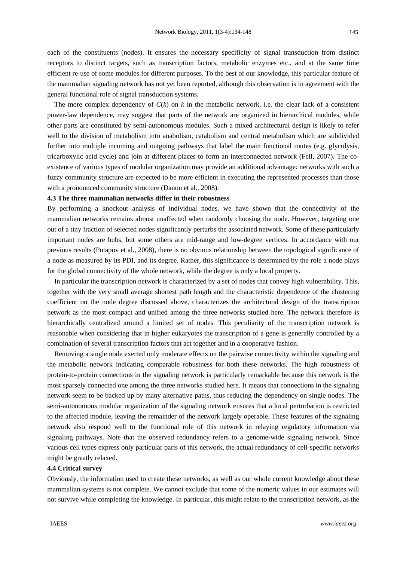each of the constituents (nodes). It ensures the necessary specificity of signal transduction from distinct receptors to distinct targets, such as transcription factors, metabolic enzymes etc., and at the same time efficient re-use of some modules for different purposes. To the best of our knowledge, this particular feature of the mammalian signaling network has not yet been reported, although this observation is in agreement with the general functional role of signal transduction systems.

The more complex dependency of  $C(k)$  on  $k$  in the metabolic network, i.e. the clear lack of a consistent power-law dependence, may suggest that parts of the network are organized in hierarchical modules, while other parts are constituted by semi-autonomous modules. Such a mixed architectural design is likely to refer well to the division of metabolism into anabolism, catabolism and central metabolism which are subdivided further into multiple incoming and outgoing pathways that label the main functional routes (e.g. glycolysis, tricarboxylic acid cycle) and join at different places to form an interconnected network (Fell, 2007). The coexistence of various types of modular organization may provide an additional advantage: networks with such a fuzzy community structure are expected to be more efficient in executing the represented processes than those with a pronounced community structure (Danon et al., 2008).

### **4.3 The three mammalian networks differ in their robustness**

By performing a knockout analysis of individual nodes, we have shown that the connectivity of the mammalian networks remains almost unaffected when randomly choosing the node. However, targeting one out of a tiny fraction of selected nodes significantly perturbs the associated network. Some of these particularly important nodes are hubs, but some others are mid-range and low-degree vertices. In accordance with our previous results (Potapov et al., 2008), there is no obvious relationship between the topological significance of a node as measured by its PDI, and its degree. Rather, this significance is determined by the role a node plays for the global connectivity of the whole network, while the degree is only a local property.

In particular the transcription network is characterized by a set of nodes that convey high vulnerability. This, together with the very small average shortest path length and the characteristic dependence of the clustering coefficient on the node degree discussed above, characterizes the architectural design of the transcription network as the most compact and unified among the three networks studied here. The network therefore is hierarchically centralized around a limited set of nodes. This peculiarity of the transcription network is reasonable when considering that in higher eukaryotes the transcription of a gene is generally controlled by a combination of several transcription factors that act together and in a cooperative fashion.

Removing a single node exerted only moderate effects on the pairwise connectivity within the signaling and the metabolic network indicating comparable robustness for both these networks. The high robustness of protein-to-protein connections in the signaling network is particularly remarkable because this network is the most sparsely connected one among the three networks studied here. It means that connections in the signaling network seem to be backed up by many alternative paths, thus reducing the dependency on single nodes. The semi-autonomous modular organization of the signaling network ensures that a local perturbation is restricted to the affected module, leaving the remainder of the network largely operable. These features of the signaling network also respond well to the functional role of this network in relaying regulatory information via signaling pathways. Note that the observed redundancy refers to a genome-wide signaling network. Since various cell types express only particular parts of this network, the actual redundancy of cell-specific networks might be greatly relaxed.

#### **4.4 Critical survey**

Obviously, the information used to create these networks, as well as our whole current knowledge about these mammalian systems is not complete. We cannot exclude that some of the numeric values in our estimates will not survive while completing the knowledge. In particular, this might relate to the transcription network, as the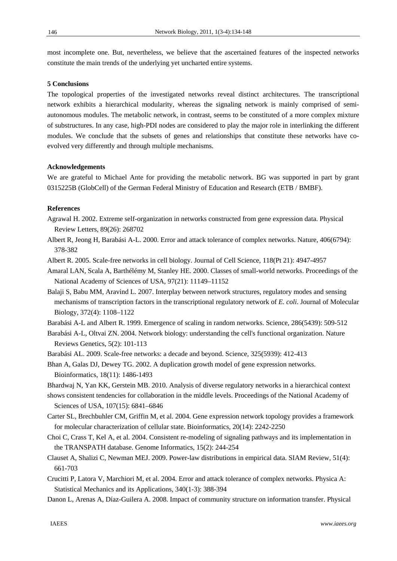most incomplete one. But, nevertheless, we believe that the ascertained features of the inspected networks constitute the main trends of the underlying yet uncharted entire systems.

## **5 Conclusions**

The topological properties of the investigated networks reveal distinct architectures. The transcriptional network exhibits a hierarchical modularity, whereas the signaling network is mainly comprised of semiautonomous modules. The metabolic network, in contrast, seems to be constituted of a more complex mixture of substructures. In any case, high-PDI nodes are considered to play the major role in interlinking the different modules. We conclude that the subsets of genes and relationships that constitute these networks have coevolved very differently and through multiple mechanisms.

# **Acknowledgements**

We are grateful to Michael Ante for providing the metabolic network. BG was supported in part by grant 0315225B (GlobCell) of the German Federal Ministry of Education and Research (ETB / BMBF).

# **References**

Agrawal H. 2002. Extreme self-organization in networks constructed from gene expression data. Physical Review Letters, 89(26): 268702

- Albert R, Jeong H, Barabási A-L. 2000. Error and attack tolerance of complex networks. Nature, 406(6794): 378-382
- Albert R. 2005. Scale-free networks in cell biology. Journal of Cell Science, 118(Pt 21): 4947-4957
- Amaral LAN, Scala A, Barthélémy M, Stanley HE. 2000. Classes of small-world networks. Proceedings of the National Academy of Sciences of USA, 97(21): 11149–11152
- Balaji S, Babu MM, Aravind L. 2007. Interplay between network structures, regulatory modes and sensing mechanisms of transcription factors in the transcriptional regulatory network of *E. coli*. Journal of Molecular Biology, 372(4): 1108–1122

Barabási A-L and Albert R. 1999. Emergence of scaling in random networks. Science, 286(5439): 509-512

Barabási A-L, Oltvai ZN. 2004. Network biology: understanding the cell's functional organization. Nature Reviews Genetics, 5(2): 101-113

- Barabási AL. 2009. Scale-free networks: a decade and beyond. Science, 325(5939): 412-413
- Bhan A, Galas DJ, Dewey TG. 2002. A duplication growth model of gene expression networks. Bioinformatics, 18(11): 1486-1493

Bhardwaj N, Yan KK, Gerstein MB. 2010. Analysis of diverse regulatory networks in a hierarchical context

shows consistent tendencies for collaboration in the middle levels. Proceedings of the National Academy of Sciences of USA, 107(15): 6841–6846

- Carter SL, Brechbuhler CM, Griffin M, et al. 2004. Gene expression network topology provides a framework for molecular characterization of cellular state. Bioinformatics, 20(14): 2242-2250
- Choi C, Crass T, Kel A, et al. 2004. Consistent re-modeling of signaling pathways and its implementation in the TRANSPATH database. Genome Informatics, 15(2): 244-254

Clauset A, Shalizi C, Newman MEJ. 2009. Power-law distributions in empirical data. SIAM Review, 51(4): 661-703

- Crucitti P, Latora V, Marchiori M, et al. 2004. Error and attack tolerance of complex networks. Physica A: Statistical Mechanics and its Applications, 340(1-3): 388-394
- Danon L, Arenas A, Díaz-Guilera A. 2008. Impact of community structure on information transfer. Physical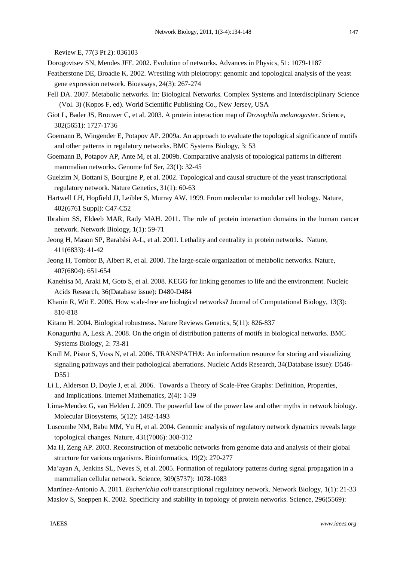Review E, 77(3 Pt 2): 036103

- Dorogovtsev SN, Mendes JFF. 2002. Evolution of networks. Advances in Physics, 51: 1079-1187
- Featherstone DE, Broadie K. 2002. Wrestling with pleiotropy: genomic and topological analysis of the yeast gene expression network. Bioessays, 24(3): 267-274
- Fell DA. 2007. Metabolic networks. In: Biological Networks. Complex Systems and Interdisciplinary Science (Vol. 3) (Kopos F, ed). World Scientific Publishing Co., New Jersey, USA
- Giot L, Bader JS, Brouwer C, et al. 2003. A protein interaction map of *Drosophila melanogaster*. Science, 302(5651): 1727-1736
- Goemann B, Wingender E, Potapov AP. 2009a. An approach to evaluate the topological significance of motifs and other patterns in regulatory networks. BMC Systems Biology, 3: 53
- Goemann B, Potapov AP, Ante M, et al. 2009b. Comparative analysis of topological patterns in different mammalian networks. Genome Inf Ser, 23(1): 32-45
- Guelzim N, Bottani S, Bourgine P, et al. 2002. Topological and causal structure of the yeast transcriptional regulatory network. Nature Genetics, 31(1): 60-63
- Hartwell LH, Hopfield JJ, Leibler S, Murray AW. 1999. From molecular to modular cell biology. Nature, 402(6761 Suppl): C47-C52
- Ibrahim SS, Eldeeb MAR, Rady MAH. 2011. The role of protein interaction domains in the human cancer network. Network Biology, 1(1): 59-71
- Jeong H, Mason SP, Barabási A-L, et al. 2001. Lethality and centrality in protein networks. Nature, 411(6833): 41-42
- Jeong H, Tombor B, Albert R, et al. 2000. The large-scale organization of metabolic networks. Nature, 407(6804): 651-654
- Kanehisa M, Araki M, Goto S, et al. 2008. KEGG for linking genomes to life and the environment. Nucleic Acids Research, 36(Database issue): D480-D484
- Khanin R, Wit E. 2006. How scale-free are biological networks? Journal of Computational Biology, 13(3): 810-818
- Kitano H. 2004. Biological robustness. Nature Reviews Genetics, 5(11): 826-837
- Konagurthu A, Lesk A. 2008. On the origin of distribution patterns of motifs in biological networks. BMC Systems Biology, 2: 73-81
- Krull M, Pistor S, Voss N, et al. 2006. TRANSPATH®: An information resource for storing and visualizing signaling pathways and their pathological aberrations. Nucleic Acids Research, 34(Database issue): D546- D<sub>551</sub>
- Li L, Alderson D, Doyle J, et al. 2006. Towards a Theory of Scale-Free Graphs: Definition, Properties, and Implications. Internet Mathematics, 2(4): 1-39
- Lima-Mendez G, van Helden J. 2009. The powerful law of the power law and other myths in network biology. Molecular Biosystems, 5(12): 1482-1493
- Luscombe NM, Babu MM, Yu H, et al. 2004. Genomic analysis of regulatory network dynamics reveals large topological changes. Nature, 431(7006): 308-312
- Ma H, Zeng AP. 2003. Reconstruction of metabolic networks from genome data and analysis of their global structure for various organisms. Bioinformatics, 19(2): 270-277
- Ma'ayan A, Jenkins SL, Neves S, et al. 2005. Formation of regulatory patterns during signal propagation in a mammalian cellular network. Science, 309(5737): 1078-1083
- Martínez-Antonio A. 2011. *Escherichia coli* transcriptional regulatory network. Network Biology, 1(1): 21-33 Maslov S, Sneppen K. 2002. Specificity and stability in topology of protein networks. Science, 296(5569):